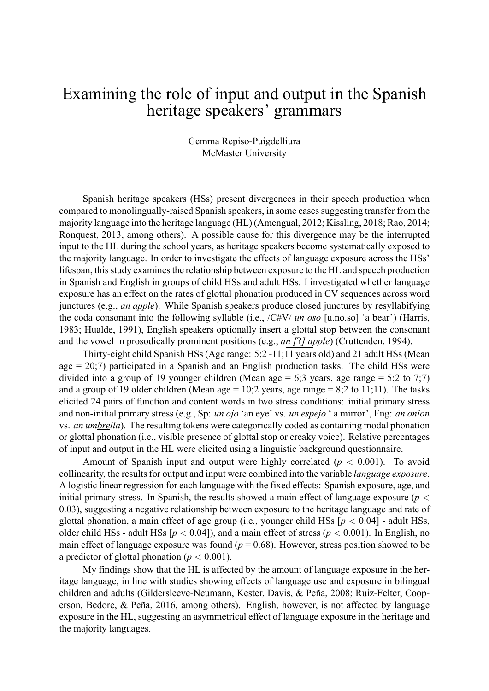## Examining the role of input and output in the Spanish heritage speakers' grammars

Gemma Repiso-Puigdelliura McMaster University

Spanish heritage speakers (HSs) present divergences in their speech production when compared to monolingually-raised Spanish speakers, in some cases suggesting transfer from the majority language into the heritage language (HL) (Amengual, 2012; Kissling, 2018; Rao, 2014; Ronquest, 2013, among others). A possible cause for this divergence may be the interrupted input to the HL during the school years, as heritage speakers become systematically exposed to the majority language. In order to investigate the effects of language exposure across the HSs' lifespan, this study examines the relationship between exposure to the HL and speech production in Spanish and English in groups of child HSs and adult HSs. I investigated whether language exposure has an effect on the rates of glottal phonation produced in CV sequences across word junctures (e.g., *an apple*). While Spanish speakers produce closed junctures by resyllabifying the coda consonant into the following syllable (i.e., /C#V/ *un oso* [u.no.so] 'a bear') (Harris, 1983; Hualde, 1991), English speakers optionally insert a glottal stop between the consonant and the vowel in prosodically prominent positions (e.g., *an [*P*] apple*) (Cruttenden, 1994).

Thirty-eight child Spanish HSs (Age range: 5;2 -11;11 years old) and 21 adult HSs (Mean age  $= 20(7)$  participated in a Spanish and an English production tasks. The child HSs were divided into a group of 19 younger children (Mean age  $= 6;3$  years, age range  $= 5;2$  to 7;7) and a group of 19 older children (Mean age  $= 10;2$  years, age range  $= 8;2$  to 11;11). The tasks elicited 24 pairs of function and content words in two stress conditions: initial primary stress and non-initial primary stress (e.g., Sp: *un ojo* 'an eye' vs. *un espejo* ' a mirror', Eng: *an onion* vs. *an umbrella*). The resulting tokens were categorically coded as containing modal phonation or glottal phonation (i.e., visible presence of glottal stop or creaky voice). Relative percentages of input and output in the HL were elicited using a linguistic background questionnaire.

Amount of Spanish input and output were highly correlated  $(p < 0.001)$ . To avoid collinearity, the results for output and input were combined into the variable *language exposure*. A logistic linear regression for each language with the fixed effects: Spanish exposure, age, and initial primary stress. In Spanish, the results showed a main effect of language exposure (*p <* 0.03), suggesting a negative relationship between exposure to the heritage language and rate of glottal phonation, a main effect of age group (i.e., younger child HSs  $[p < 0.04]$  - adult HSs, older child HSs - adult HSs  $[p < 0.04]$ ), and a main effect of stress  $(p < 0.001)$ . In English, no main effect of language exposure was found  $(p = 0.68)$ . However, stress position showed to be a predictor of glottal phonation ( $p < 0.001$ ).

My findings show that the HL is affected by the amount of language exposure in the heritage language, in line with studies showing effects of language use and exposure in bilingual children and adults (Gildersleeve-Neumann, Kester, Davis, & Peña, 2008; Ruiz-Felter, Cooperson, Bedore, & Peña, 2016, among others). English, however, is not affected by language exposure in the HL, suggesting an asymmetrical effect of language exposure in the heritage and the majority languages.